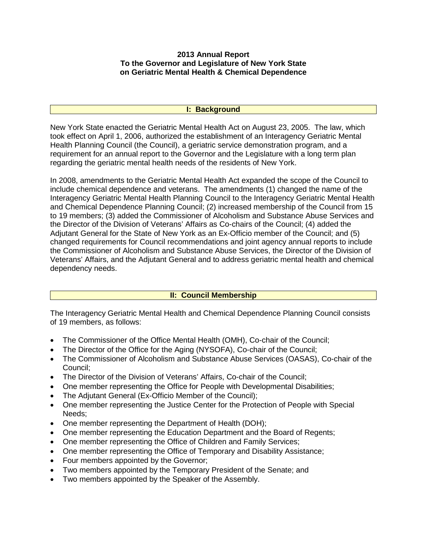#### **2013 Annual Report To the Governor and Legislature of New York State on Geriatric Mental Health & Chemical Dependence**

#### **I: Background**

New York State enacted the Geriatric Mental Health Act on August 23, 2005. The law, which took effect on April 1, 2006, authorized the establishment of an Interagency Geriatric Mental Health Planning Council (the Council), a geriatric service demonstration program, and a requirement for an annual report to the Governor and the Legislature with a long term plan regarding the geriatric mental health needs of the residents of New York.

In 2008, amendments to the Geriatric Mental Health Act expanded the scope of the Council to include chemical dependence and veterans. The amendments (1) changed the name of the Interagency Geriatric Mental Health Planning Council to the Interagency Geriatric Mental Health and Chemical Dependence Planning Council; (2) increased membership of the Council from 15 to 19 members; (3) added the Commissioner of Alcoholism and Substance Abuse Services and the Director of the Division of Veterans' Affairs as Co-chairs of the Council; (4) added the Adjutant General for the State of New York as an Ex-Officio member of the Council; and (5) changed requirements for Council recommendations and joint agency annual reports to include the Commissioner of Alcoholism and Substance Abuse Services, the Director of the Division of Veterans' Affairs, and the Adjutant General and to address geriatric mental health and chemical dependency needs.

## **II: Council Membership**

The Interagency Geriatric Mental Health and Chemical Dependence Planning Council consists of 19 members, as follows:

- The Commissioner of the Office Mental Health (OMH), Co-chair of the Council;
- The Director of the Office for the Aging (NYSOFA), Co-chair of the Council;
- The Commissioner of Alcoholism and Substance Abuse Services (OASAS), Co-chair of the Council;
- The Director of the Division of Veterans' Affairs, Co-chair of the Council;
- One member representing the Office for People with Developmental Disabilities;
- The Adjutant General (Ex-Officio Member of the Council);
- One member representing the Justice Center for the Protection of People with Special Needs;
- One member representing the Department of Health (DOH);
- One member representing the Education Department and the Board of Regents;
- One member representing the Office of Children and Family Services;
- One member representing the Office of Temporary and Disability Assistance;
- Four members appointed by the Governor;
- Two members appointed by the Temporary President of the Senate; and
- Two members appointed by the Speaker of the Assembly.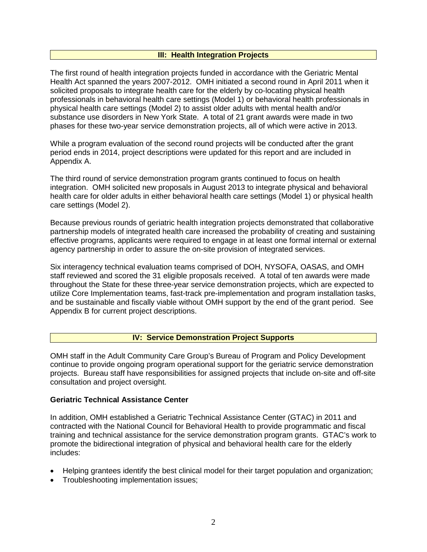#### **III: Health Integration Projects**

The first round of health integration projects funded in accordance with the Geriatric Mental Health Act spanned the years 2007-2012. OMH initiated a second round in April 2011 when it solicited proposals to integrate health care for the elderly by co-locating physical health professionals in behavioral health care settings (Model 1) or behavioral health professionals in physical health care settings (Model 2) to assist older adults with mental health and/or substance use disorders in New York State. A total of 21 grant awards were made in two phases for these two-year service demonstration projects, all of which were active in 2013.

While a program evaluation of the second round projects will be conducted after the grant period ends in 2014, project descriptions were updated for this report and are included in Appendix A.

The third round of service demonstration program grants continued to focus on health integration. OMH solicited new proposals in August 2013 to integrate physical and behavioral health care for older adults in either behavioral health care settings (Model 1) or physical health care settings (Model 2).

Because previous rounds of geriatric health integration projects demonstrated that collaborative partnership models of integrated health care increased the probability of creating and sustaining effective programs, applicants were required to engage in at least one formal internal or external agency partnership in order to assure the on-site provision of integrated services.

Six interagency technical evaluation teams comprised of DOH, NYSOFA, OASAS, and OMH staff reviewed and scored the 31 eligible proposals received. A total of ten awards were made throughout the State for these three-year service demonstration projects, which are expected to utilize Core Implementation teams, fast-track pre-implementation and program installation tasks, and be sustainable and fiscally viable without OMH support by the end of the grant period. See Appendix B for current project descriptions.

#### **IV: Service Demonstration Project Supports**

OMH staff in the Adult Community Care Group's Bureau of Program and Policy Development continue to provide ongoing program operational support for the geriatric service demonstration projects. Bureau staff have responsibilities for assigned projects that include on-site and off-site consultation and project oversight.

#### **Geriatric Technical Assistance Center**

In addition, OMH established a Geriatric Technical Assistance Center (GTAC) in 2011 and contracted with the National Council for Behavioral Health to provide programmatic and fiscal training and technical assistance for the service demonstration program grants. GTAC's work to promote the bidirectional integration of physical and behavioral health care for the elderly includes:

- Helping grantees identify the best clinical model for their target population and organization;
- Troubleshooting implementation issues;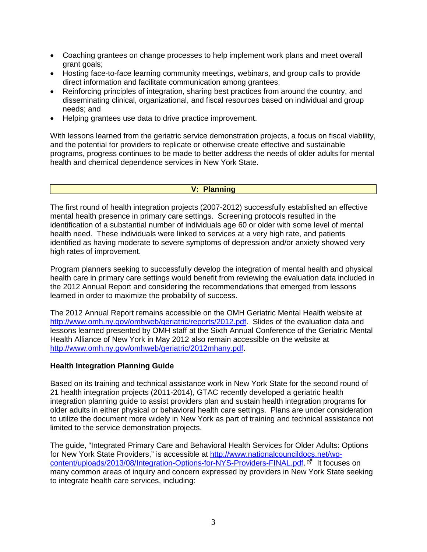- Coaching grantees on change processes to help implement work plans and meet overall grant goals;
- Hosting face-to-face learning community meetings, webinars, and group calls to provide direct information and facilitate communication among grantees;
- Reinforcing principles of integration, sharing best practices from around the country, and disseminating clinical, organizational, and fiscal resources based on individual and group needs; and
- Helping grantees use data to drive practice improvement.

With lessons learned from the geriatric service demonstration projects, a focus on fiscal viability, and the potential for providers to replicate or otherwise create effective and sustainable programs, progress continues to be made to better address the needs of older adults for mental health and chemical dependence services in New York State.

#### **V: Planning**

The first round of health integration projects (2007-2012) successfully established an effective mental health presence in primary care settings. Screening protocols resulted in the identification of a substantial number of individuals age 60 or older with some level of mental health need. These individuals were linked to services at a very high rate, and patients identified as having moderate to severe symptoms of depression and/or anxiety showed very high rates of improvement.

Program planners seeking to successfully develop the integration of mental health and physical health care in primary care settings would benefit from reviewing the evaluation data included in the 2012 Annual Report and considering the recommendations that emerged from lessons learned in order to maximize the probability of success.

The 2012 Annual Report remains accessible on the OMH Geriatric Mental Health website at [http://www.omh.ny.gov/omhweb/geriatric/reports/2012.pdf.](http://www.omh.ny.gov/omhweb/geriatric/reports/2012.pdf) Slides of the evaluation data and lessons learned presented by OMH staff at the Sixth Annual Conference of the Geriatric Mental Health Alliance of New York in May 2012 also remain accessible on the website at [http://www.omh.ny.gov/omhweb/geriatric/2012mhany.pdf.](http://www.omh.ny.gov/omhweb/geriatric/2012mhany.pdf)

#### **Health Integration Planning Guide**

Based on its training and technical assistance work in New York State for the second round of 21 health integration projects (2011-2014), GTAC recently developed a geriatric health integration planning guide to assist providers plan and sustain health integration programs for older adults in either physical or behavioral health care settings. Plans are under consideration to utilize the document more widely in New York as part of training and technical assistance not limited to the service demonstration projects.

The guide, "Integrated Primary Care and Behavioral Health Services for Older Adults: Options for New York State Providers," is accessible at [http://www.nationalcouncildocs.net/wp](http://www.nationalcouncildocs.net/wp-content/uploads/2013/08/Integration-Options-for-NYS-Providers-FINAL.pdf)[content/uploads/2013/08/Integration-Options-for-NYS-Providers-FINAL.pdf.](http://www.nationalcouncildocs.net/wp-content/uploads/2013/08/Integration-Options-for-NYS-Providers-FINAL.pdf) <sup>E7</sup> It focuses on many common areas of inquiry and concern expressed by providers in New York State seeking to integrate health care services, including: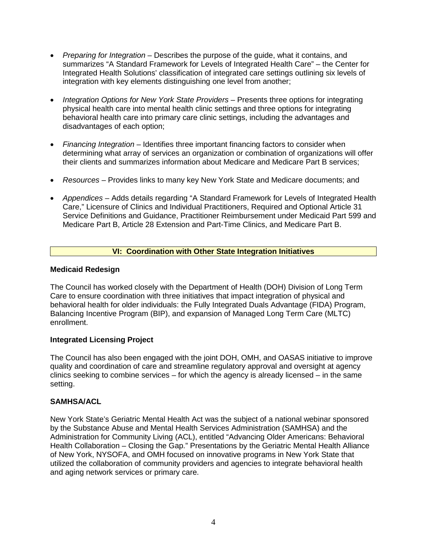- *Preparing for Integration* Describes the purpose of the guide, what it contains, and summarizes "A Standard Framework for Levels of Integrated Health Care" – the Center for Integrated Health Solutions' classification of integrated care settings outlining six levels of integration with key elements distinguishing one level from another;
- *Integration Options for New York State Providers* Presents three options for integrating physical health care into mental health clinic settings and three options for integrating behavioral health care into primary care clinic settings, including the advantages and disadvantages of each option;
- *Financing Integration* Identifies three important financing factors to consider when determining what array of services an organization or combination of organizations will offer their clients and summarizes information about Medicare and Medicare Part B services;
- *Resources* Provides links to many key New York State and Medicare documents; and
- *Appendices* Adds details regarding "A Standard Framework for Levels of Integrated Health Care," Licensure of Clinics and Individual Practitioners, Required and Optional Article 31 Service Definitions and Guidance, Practitioner Reimbursement under Medicaid Part 599 and Medicare Part B, Article 28 Extension and Part-Time Clinics, and Medicare Part B.

# **VI: Coordination with Other State Integration Initiatives**

## **Medicaid Redesign**

The Council has worked closely with the Department of Health (DOH) Division of Long Term Care to ensure coordination with three initiatives that impact integration of physical and behavioral health for older individuals: the Fully Integrated Duals Advantage (FIDA) Program, Balancing Incentive Program (BIP), and expansion of Managed Long Term Care (MLTC) enrollment.

## **Integrated Licensing Project**

The Council has also been engaged with the joint DOH, OMH, and OASAS initiative to improve quality and coordination of care and streamline regulatory approval and oversight at agency clinics seeking to combine services – for which the agency is already licensed – in the same setting.

## **SAMHSA/ACL**

New York State's Geriatric Mental Health Act was the subject of a national webinar sponsored by the Substance Abuse and Mental Health Services Administration (SAMHSA) and the Administration for Community Living (ACL), entitled "Advancing Older Americans: Behavioral Health Collaboration – Closing the Gap." Presentations by the Geriatric Mental Health Alliance of New York, NYSOFA, and OMH focused on innovative programs in New York State that utilized the collaboration of community providers and agencies to integrate behavioral health and aging network services or primary care.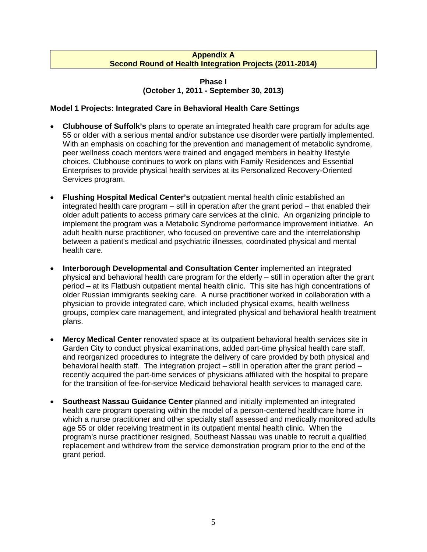#### **Appendix A Second Round of Health Integration Projects (2011-2014)**

#### **Phase I (October 1, 2011 - September 30, 2013)**

# **Model 1 Projects: Integrated Care in Behavioral Health Care Settings**

- **Clubhouse of Suffolk's** plans to operate an integrated health care program for adults age 55 or older with a serious mental and/or substance use disorder were partially implemented. With an emphasis on coaching for the prevention and management of metabolic syndrome, peer wellness coach mentors were trained and engaged members in healthy lifestyle choices. Clubhouse continues to work on plans with Family Residences and Essential Enterprises to provide physical health services at its Personalized Recovery-Oriented Services program.
- **Flushing Hospital Medical Center's** outpatient mental health clinic established an integrated health care program – still in operation after the grant period – that enabled their older adult patients to access primary care services at the clinic. An organizing principle to implement the program was a Metabolic Syndrome performance improvement initiative. An adult health nurse practitioner, who focused on preventive care and the interrelationship between a patient's medical and psychiatric illnesses, coordinated physical and mental health care.
- **Interborough Developmental and Consultation Center** implemented an integrated physical and behavioral health care program for the elderly – still in operation after the grant period – at its Flatbush outpatient mental health clinic. This site has high concentrations of older Russian immigrants seeking care. A nurse practitioner worked in collaboration with a physician to provide integrated care, which included physical exams, health wellness groups, complex care management, and integrated physical and behavioral health treatment plans.
- **Mercy Medical Center** renovated space at its outpatient behavioral health services site in Garden City to conduct physical examinations, added part-time physical health care staff, and reorganized procedures to integrate the delivery of care provided by both physical and behavioral health staff. The integration project – still in operation after the grant period – recently acquired the part-time services of physicians affiliated with the hospital to prepare for the transition of fee-for-service Medicaid behavioral health services to managed care.
- **Southeast Nassau Guidance Center** planned and initially implemented an integrated health care program operating within the model of a person-centered healthcare home in which a nurse practitioner and other specialty staff assessed and medically monitored adults age 55 or older receiving treatment in its outpatient mental health clinic. When the program's nurse practitioner resigned, Southeast Nassau was unable to recruit a qualified replacement and withdrew from the service demonstration program prior to the end of the grant period.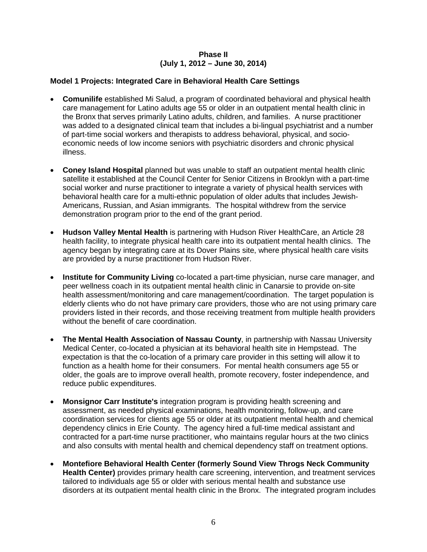## **Phase II (July 1, 2012 – June 30, 2014)**

# **Model 1 Projects: Integrated Care in Behavioral Health Care Settings**

- **Comunilife** established Mi Salud, a program of coordinated behavioral and physical health care management for Latino adults age 55 or older in an outpatient mental health clinic in the Bronx that serves primarily Latino adults, children, and families. A nurse practitioner was added to a designated clinical team that includes a bi-lingual psychiatrist and a number of part-time social workers and therapists to address behavioral, physical, and socioeconomic needs of low income seniors with psychiatric disorders and chronic physical illness.
- **Coney Island Hospital** planned but was unable to staff an outpatient mental health clinic satellite it established at the Council Center for Senior Citizens in Brooklyn with a part-time social worker and nurse practitioner to integrate a variety of physical health services with behavioral health care for a multi-ethnic population of older adults that includes Jewish-Americans, Russian, and Asian immigrants. The hospital withdrew from the service demonstration program prior to the end of the grant period.
- **Hudson Valley Mental Health** is partnering with Hudson River HealthCare, an Article 28 health facility, to integrate physical health care into its outpatient mental health clinics. The agency began by integrating care at its Dover Plains site, where physical health care visits are provided by a nurse practitioner from Hudson River.
- **Institute for Community Living** co-located a part-time physician, nurse care manager, and peer wellness coach in its outpatient mental health clinic in Canarsie to provide on-site health assessment/monitoring and care management/coordination. The target population is elderly clients who do not have primary care providers, those who are not using primary care providers listed in their records, and those receiving treatment from multiple health providers without the benefit of care coordination.
- **The Mental Health Association of Nassau County**, in partnership with Nassau University Medical Center, co-located a physician at its behavioral health site in Hempstead. The expectation is that the co-location of a primary care provider in this setting will allow it to function as a health home for their consumers. For mental health consumers age 55 or older, the goals are to improve overall health, promote recovery, foster independence, and reduce public expenditures.
- **Monsignor Carr Institute's** integration program is providing health screening and assessment, as needed physical examinations, health monitoring, follow-up, and care coordination services for clients age 55 or older at its outpatient mental health and chemical dependency clinics in Erie County. The agency hired a full-time medical assistant and contracted for a part-time nurse practitioner, who maintains regular hours at the two clinics and also consults with mental health and chemical dependency staff on treatment options.
- **Montefiore Behavioral Health Center (formerly Sound View Throgs Neck Community Health Center)** provides primary health care screening, intervention, and treatment services tailored to individuals age 55 or older with serious mental health and substance use disorders at its outpatient mental health clinic in the Bronx. The integrated program includes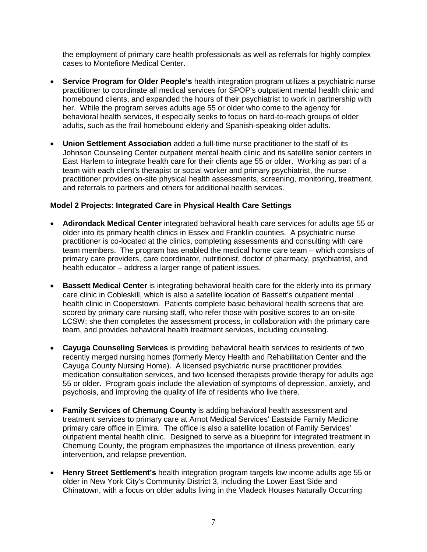the employment of primary care health professionals as well as referrals for highly complex cases to Montefiore Medical Center.

- **Service Program for Older People's** health integration program utilizes a psychiatric nurse practitioner to coordinate all medical services for SPOP's outpatient mental health clinic and homebound clients, and expanded the hours of their psychiatrist to work in partnership with her. While the program serves adults age 55 or older who come to the agency for behavioral health services, it especially seeks to focus on hard-to-reach groups of older adults, such as the frail homebound elderly and Spanish-speaking older adults.
- **Union Settlement Association** added a full-time nurse practitioner to the staff of its Johnson Counseling Center outpatient mental health clinic and its satellite senior centers in East Harlem to integrate health care for their clients age 55 or older. Working as part of a team with each client's therapist or social worker and primary psychiatrist, the nurse practitioner provides on-site physical health assessments, screening, monitoring, treatment, and referrals to partners and others for additional health services.

## **Model 2 Projects: Integrated Care in Physical Health Care Settings**

- **Adirondack Medical Center** integrated behavioral health care services for adults age 55 or older into its primary health clinics in Essex and Franklin counties. A psychiatric nurse practitioner is co-located at the clinics, completing assessments and consulting with care team members. The program has enabled the medical home care team – which consists of primary care providers, care coordinator, nutritionist, doctor of pharmacy, psychiatrist, and health educator – address a larger range of patient issues.
- **Bassett Medical Center** is integrating behavioral health care for the elderly into its primary care clinic in Cobleskill, which is also a satellite location of Bassett's outpatient mental health clinic in Cooperstown. Patients complete basic behavioral health screens that are scored by primary care nursing staff, who refer those with positive scores to an on-site LCSW; she then completes the assessment process, in collaboration with the primary care team, and provides behavioral health treatment services, including counseling.
- **Cayuga Counseling Services** is providing behavioral health services to residents of two recently merged nursing homes (formerly Mercy Health and Rehabilitation Center and the Cayuga County Nursing Home). A licensed psychiatric nurse practitioner provides medication consultation services, and two licensed therapists provide therapy for adults age 55 or older. Program goals include the alleviation of symptoms of depression, anxiety, and psychosis, and improving the quality of life of residents who live there.
- **Family Services of Chemung County** is adding behavioral health assessment and treatment services to primary care at Arnot Medical Services' Eastside Family Medicine primary care office in Elmira. The office is also a satellite location of Family Services' outpatient mental health clinic. Designed to serve as a blueprint for integrated treatment in Chemung County, the program emphasizes the importance of illness prevention, early intervention, and relapse prevention.
- **Henry Street Settlement's** health integration program targets low income adults age 55 or older in New York City's Community District 3, including the Lower East Side and Chinatown, with a focus on older adults living in the Vladeck Houses Naturally Occurring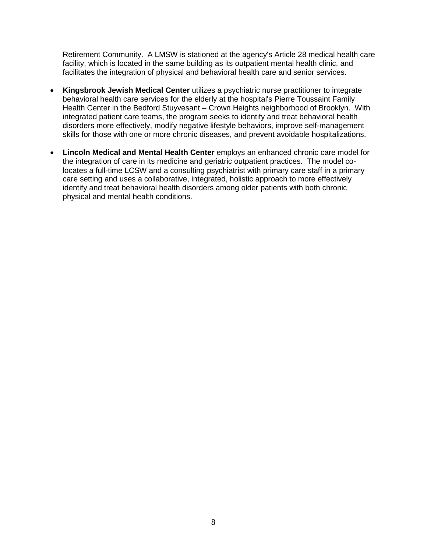Retirement Community. A LMSW is stationed at the agency's Article 28 medical health care facility, which is located in the same building as its outpatient mental health clinic, and facilitates the integration of physical and behavioral health care and senior services.

- **Kingsbrook Jewish Medical Center** utilizes a psychiatric nurse practitioner to integrate behavioral health care services for the elderly at the hospital's Pierre Toussaint Family Health Center in the Bedford Stuyvesant – Crown Heights neighborhood of Brooklyn. With integrated patient care teams, the program seeks to identify and treat behavioral health disorders more effectively, modify negative lifestyle behaviors, improve self-management skills for those with one or more chronic diseases, and prevent avoidable hospitalizations.
- **Lincoln Medical and Mental Health Center** employs an enhanced chronic care model for the integration of care in its medicine and geriatric outpatient practices. The model colocates a full-time LCSW and a consulting psychiatrist with primary care staff in a primary care setting and uses a collaborative, integrated, holistic approach to more effectively identify and treat behavioral health disorders among older patients with both chronic physical and mental health conditions.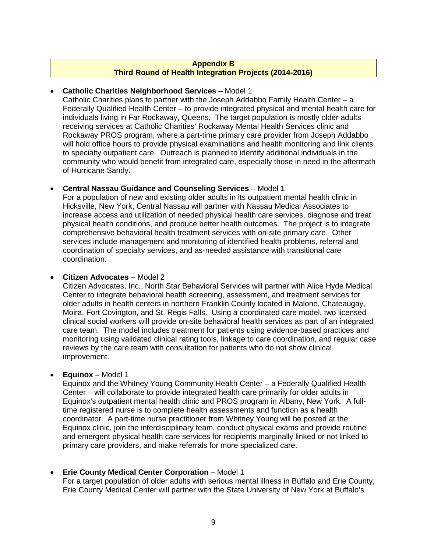## **Appendix B Third Round of Health Integration Projects (2014-2016)**

## • **Catholic Charities Neighborhood Services** – Model 1

Catholic Charities plans to partner with the Joseph Addabbo Family Health Center – a Federally Qualified Health Center – to provide integrated physical and mental health care for individuals living in Far Rockaway, Queens. The target population is mostly older adults receiving services at Catholic Charities' Rockaway Mental Health Services clinic and Rockaway PROS program, where a part-time primary care provider from Joseph Addabbo will hold office hours to provide physical examinations and health monitoring and link clients to specialty outpatient care. Outreach is planned to identify additional individuals in the community who would benefit from integrated care, especially those in need in the aftermath of Hurricane Sandy.

# • **Central Nassau Guidance and Counseling Services** – Model 1

For a population of new and existing older adults in its outpatient mental health clinic in Hicksville, New York, Central Nassau will partner with Nassau Medical Associates to increase access and utilization of needed physical health care services, diagnose and treat physical health conditions, and produce better health outcomes. The project is to integrate comprehensive behavioral health treatment services with on-site primary care. Other services include management and monitoring of identified health problems, referral and coordination of specialty services, and as-needed assistance with transitional care coordination.

## • **Citizen Advocates** – Model 2

Citizen Advocates, Inc., North Star Behavioral Services will partner with Alice Hyde Medical Center to integrate behavioral health screening, assessment, and treatment services for older adults in health centers in northern Franklin County located in Malone, Chateaugay, Moira, Fort Covington, and St. Regis Falls. Using a coordinated care model, two licensed clinical social workers will provide on-site behavioral health services as part of an integrated care team. The model includes treatment for patients using evidence-based practices and monitoring using validated clinical rating tools, linkage to care coordination, and regular case reviews by the care team with consultation for patients who do not show clinical improvement.

## • **Equinox** – Model 1

Equinox and the Whitney Young Community Health Center – a Federally Qualified Health Center – will collaborate to provide integrated health care primarily for older adults in Equinox's outpatient mental health clinic and PROS program in Albany, New York. A fulltime registered nurse is to complete health assessments and function as a health coordinator. A part-time nurse practitioner from Whitney Young will be posted at the Equinox clinic, join the interdisciplinary team, conduct physical exams and provide routine and emergent physical health care services for recipients marginally linked or not linked to primary care providers, and make referrals for more specialized care.

# • **Erie County Medical Center Corporation** – Model 1

For a target population of older adults with serious mental illness in Buffalo and Erie County, Erie County Medical Center will partner with the State University of New York at Buffalo's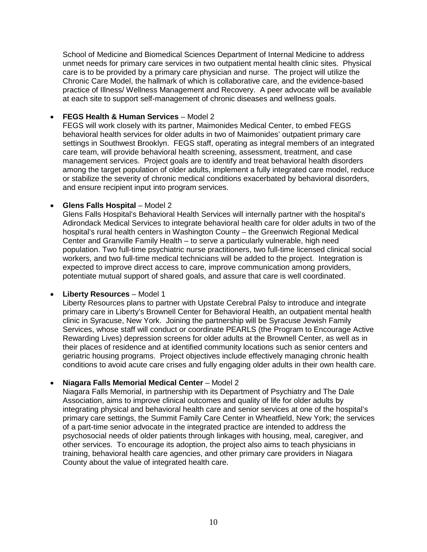School of Medicine and Biomedical Sciences Department of Internal Medicine to address unmet needs for primary care services in two outpatient mental health clinic sites. Physical care is to be provided by a primary care physician and nurse. The project will utilize the Chronic Care Model, the hallmark of which is collaborative care, and the evidence-based practice of Illness/ Wellness Management and Recovery. A peer advocate will be available at each site to support self-management of chronic diseases and wellness goals.

## • **FEGS Health & Human Services** – Model 2

FEGS will work closely with its partner, Maimonides Medical Center, to embed FEGS behavioral health services for older adults in two of Maimonides' outpatient primary care settings in Southwest Brooklyn. FEGS staff, operating as integral members of an integrated care team, will provide behavioral health screening, assessment, treatment, and case management services. Project goals are to identify and treat behavioral health disorders among the target population of older adults, implement a fully integrated care model, reduce or stabilize the severity of chronic medical conditions exacerbated by behavioral disorders, and ensure recipient input into program services.

# • **Glens Falls Hospital** – Model 2

Glens Falls Hospital's Behavioral Health Services will internally partner with the hospital's Adirondack Medical Services to integrate behavioral health care for older adults in two of the hospital's rural health centers in Washington County – the Greenwich Regional Medical Center and Granville Family Health – to serve a particularly vulnerable, high need population. Two full-time psychiatric nurse practitioners, two full-time licensed clinical social workers, and two full-time medical technicians will be added to the project. Integration is expected to improve direct access to care, improve communication among providers, potentiate mutual support of shared goals, and assure that care is well coordinated.

## • **Liberty Resources** – Model 1

Liberty Resources plans to partner with Upstate Cerebral Palsy to introduce and integrate primary care in Liberty's Brownell Center for Behavioral Health, an outpatient mental health clinic in Syracuse, New York. Joining the partnership will be Syracuse Jewish Family Services, whose staff will conduct or coordinate PEARLS (the Program to Encourage Active Rewarding Lives) depression screens for older adults at the Brownell Center, as well as in their places of residence and at identified community locations such as senior centers and geriatric housing programs. Project objectives include effectively managing chronic health conditions to avoid acute care crises and fully engaging older adults in their own health care.

# • **Niagara Falls Memorial Medical Center** – Model 2

Niagara Falls Memorial, in partnership with its Department of Psychiatry and The Dale Association, aims to improve clinical outcomes and quality of life for older adults by integrating physical and behavioral health care and senior services at one of the hospital's primary care settings, the Summit Family Care Center in Wheatfield, New York; the services of a part-time senior advocate in the integrated practice are intended to address the psychosocial needs of older patients through linkages with housing, meal, caregiver, and other services. To encourage its adoption, the project also aims to teach physicians in training, behavioral health care agencies, and other primary care providers in Niagara County about the value of integrated health care.